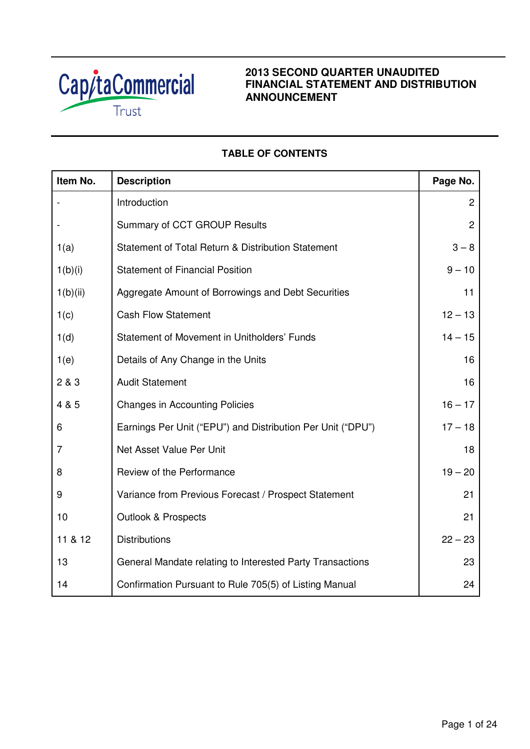

## **2013 SECOND QUARTER UNAUDITED FINANCIAL STATEMENT AND DISTRIBUTION ANNOUNCEMENT**

# **TABLE OF CONTENTS**

| Item No.       | <b>Description</b>                                          | Page No.       |
|----------------|-------------------------------------------------------------|----------------|
|                | Introduction                                                | $\overline{2}$ |
|                | Summary of CCT GROUP Results                                | $\overline{2}$ |
| 1(a)           | Statement of Total Return & Distribution Statement          | $3 - 8$        |
| 1(b)(i)        | <b>Statement of Financial Position</b>                      | $9 - 10$       |
| 1(b)(ii)       | Aggregate Amount of Borrowings and Debt Securities          | 11             |
| 1(c)           | <b>Cash Flow Statement</b>                                  | $12 - 13$      |
| 1(d)           | Statement of Movement in Unitholders' Funds                 | $14 - 15$      |
| 1(e)           | Details of Any Change in the Units                          | 16             |
| 2 & 3          | <b>Audit Statement</b>                                      | 16             |
| 4 & 5          | <b>Changes in Accounting Policies</b>                       | $16 - 17$      |
| 6              | Earnings Per Unit ("EPU") and Distribution Per Unit ("DPU") | $17 - 18$      |
| $\overline{7}$ | Net Asset Value Per Unit                                    | 18             |
| 8              | Review of the Performance                                   | $19 - 20$      |
| 9              | Variance from Previous Forecast / Prospect Statement        | 21             |
| 10             | <b>Outlook &amp; Prospects</b>                              | 21             |
| 11 & 12        | <b>Distributions</b>                                        | $22 - 23$      |
| 13             | General Mandate relating to Interested Party Transactions   | 23             |
| 14             | Confirmation Pursuant to Rule 705(5) of Listing Manual      | 24             |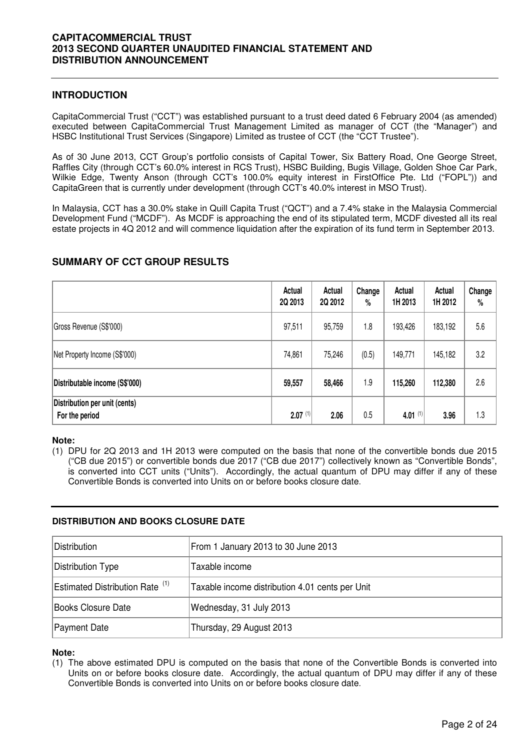### **INTRODUCTION**

CapitaCommercial Trust ("CCT") was established pursuant to a trust deed dated 6 February 2004 (as amended) executed between CapitaCommercial Trust Management Limited as manager of CCT (the "Manager") and HSBC Institutional Trust Services (Singapore) Limited as trustee of CCT (the "CCT Trustee").

As of 30 June 2013, CCT Group's portfolio consists of Capital Tower, Six Battery Road, One George Street, Raffles City (through CCT's 60.0% interest in RCS Trust), HSBC Building, Bugis Village, Golden Shoe Car Park, Wilkie Edge, Twenty Anson (through CCT's 100.0% equity interest in FirstOffice Pte. Ltd ("FOPL")) and CapitaGreen that is currently under development (through CCT's 40.0% interest in MSO Trust).

In Malaysia, CCT has a 30.0% stake in Quill Capita Trust ("QCT") and a 7.4% stake in the Malaysia Commercial Development Fund ("MCDF"). As MCDF is approaching the end of its stipulated term, MCDF divested all its real estate projects in 4Q 2012 and will commence liquidation after the expiration of its fund term in September 2013.

### **SUMMARY OF CCT GROUP RESULTS**

|                                                 | Actual<br>2Q 2013 | Actual<br>2Q 2012 | Change<br>% | Actual<br>1H 2013 | Actual<br>1H 2012 | Change<br>% |
|-------------------------------------------------|-------------------|-------------------|-------------|-------------------|-------------------|-------------|
| Gross Revenue (S\$'000)                         | 97,511            | 95,759            | 1.8         | 193,426           | 183,192           | 5.6         |
| Net Property Income (S\$'000)                   | 74,861            | 75,246            | (0.5)       | 149,771           | 145,182           | 3.2         |
| Distributable income (S\$'000)                  | 59,557            | 58,466            | 1.9         | 115,260           | 112,380           | 2.6         |
| Distribution per unit (cents)<br>For the period | $2.07^{(1)}$      | 2.06              | 0.5         | 4.01 $(1)$        | 3.96              | 1.3         |

### **Note:**

(1) DPU for 2Q 2013 and 1H 2013 were computed on the basis that none of the convertible bonds due 2015 ("CB due 2015") or convertible bonds due 2017 ("CB due 2017") collectively known as "Convertible Bonds", is converted into CCT units ("Units"). Accordingly, the actual quantum of DPU may differ if any of these Convertible Bonds is converted into Units on or before books closure date.

### **DISTRIBUTION AND BOOKS CLOSURE DATE**

| Distribution                               | From 1 January 2013 to 30 June 2013             |
|--------------------------------------------|-------------------------------------------------|
| Distribution Type                          | Taxable income                                  |
| Estimated Distribution Rate <sup>(1)</sup> | Taxable income distribution 4.01 cents per Unit |
| Books Closure Date                         | Wednesday, 31 July 2013                         |
| Payment Date                               | Thursday, 29 August 2013                        |

### **Note:**

(1) The above estimated DPU is computed on the basis that none of the Convertible Bonds is converted into Units on or before books closure date. Accordingly, the actual quantum of DPU may differ if any of these Convertible Bonds is converted into Units on or before books closure date.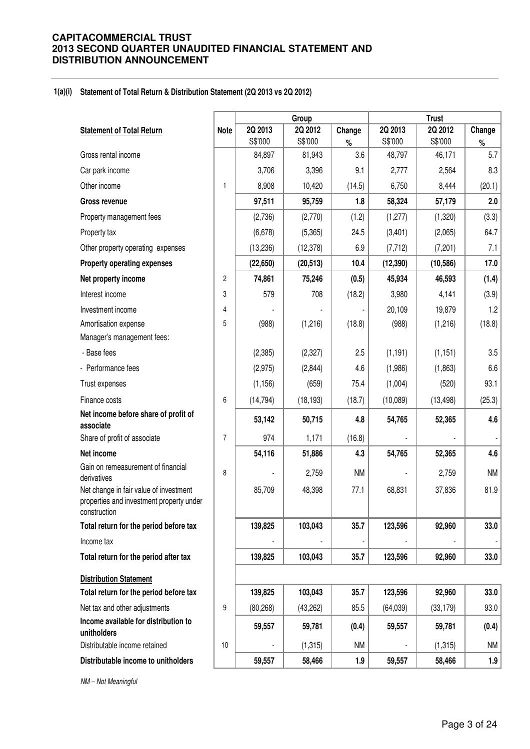#### **1(a)(i) Statement of Total Return & Distribution Statement (2Q 2013 vs 2Q 2012)**

|                                                                                                    |                |           | Group     |           | <b>Trust</b> |           |           |  |
|----------------------------------------------------------------------------------------------------|----------------|-----------|-----------|-----------|--------------|-----------|-----------|--|
| <b>Statement of Total Return</b>                                                                   | <b>Note</b>    | 2Q 2013   | 2Q 2012   | Change    | 2Q 2013      | 2Q 2012   | Change    |  |
|                                                                                                    |                | S\$'000   | S\$'000   | $\%$      | S\$'000      | S\$'000   | $\%$      |  |
| Gross rental income                                                                                |                | 84,897    | 81,943    | 3.6       | 48,797       | 46,171    | 5.7       |  |
| Car park income                                                                                    |                | 3,706     | 3,396     | 9.1       | 2,777        | 2,564     | 8.3       |  |
| Other income                                                                                       | $\mathbf{1}$   | 8,908     | 10,420    | (14.5)    | 6,750        | 8,444     | (20.1)    |  |
| <b>Gross revenue</b>                                                                               |                | 97,511    | 95,759    | 1.8       | 58,324       | 57,179    | 2.0       |  |
| Property management fees                                                                           |                | (2,736)   | (2,770)   | (1.2)     | (1, 277)     | (1,320)   | (3.3)     |  |
| Property tax                                                                                       |                | (6,678)   | (5,365)   | 24.5      | (3,401)      | (2,065)   | 64.7      |  |
| Other property operating expenses                                                                  |                | (13, 236) | (12, 378) | 6.9       | (7, 712)     | (7,201)   | 7.1       |  |
| <b>Property operating expenses</b>                                                                 |                | (22, 650) | (20, 513) | 10.4      | (12, 390)    | (10, 586) | 17.0      |  |
| Net property income                                                                                | $\overline{c}$ | 74,861    | 75,246    | (0.5)     | 45,934       | 46,593    | (1.4)     |  |
| Interest income                                                                                    | 3              | 579       | 708       | (18.2)    | 3,980        | 4,141     | (3.9)     |  |
| Investment income                                                                                  | 4              |           |           |           | 20,109       | 19,879    | 1.2       |  |
| Amortisation expense                                                                               | 5              | (988)     | (1,216)   | (18.8)    | (988)        | (1,216)   | (18.8)    |  |
| Manager's management fees:                                                                         |                |           |           |           |              |           |           |  |
| - Base fees                                                                                        |                | (2, 385)  | (2, 327)  | 2.5       | (1, 191)     | (1, 151)  | 3.5       |  |
| - Performance fees                                                                                 |                | (2,975)   | (2,844)   | 4.6       | (1,986)      | (1,863)   | 6.6       |  |
| Trust expenses                                                                                     |                | (1, 156)  | (659)     | 75.4      | (1,004)      | (520)     | 93.1      |  |
| Finance costs                                                                                      | 6              | (14, 794) | (18, 193) | (18.7)    | (10,089)     | (13, 498) | (25.3)    |  |
| Net income before share of profit of<br>associate                                                  |                | 53,142    | 50,715    | 4.8       | 54,765       | 52,365    | 4.6       |  |
| Share of profit of associate                                                                       | 7              | 974       | 1,171     | (16.8)    |              |           |           |  |
| Net income                                                                                         |                | 54,116    | 51,886    | 4.3       | 54,765       | 52,365    | 4.6       |  |
| Gain on remeasurement of financial<br>derivatives                                                  | 8              |           | 2,759     | <b>NM</b> |              | 2,759     | <b>NM</b> |  |
| Net change in fair value of investment<br>properties and investment property under<br>construction |                | 85,709    | 48,398    | 77.1      | 68,831       | 37,836    | 81.9      |  |
| Total return for the period before tax                                                             |                | 139,825   | 103,043   | 35.7      | 123,596      | 92,960    | 33.0      |  |
| Income tax                                                                                         |                |           |           |           |              |           |           |  |
| Total return for the period after tax                                                              |                | 139,825   | 103,043   | 35.7      | 123,596      | 92,960    | 33.0      |  |
| <b>Distribution Statement</b>                                                                      |                |           |           |           |              |           |           |  |
| Total return for the period before tax                                                             |                | 139,825   | 103,043   | 35.7      | 123,596      | 92,960    | 33.0      |  |
| Net tax and other adjustments                                                                      | 9              | (80, 268) | (43, 262) | 85.5      | (64, 039)    | (33, 179) | 93.0      |  |
| Income available for distribution to<br>unitholders                                                |                | 59,557    | 59,781    | (0.4)     | 59,557       | 59,781    | (0.4)     |  |
| Distributable income retained                                                                      | 10             |           | (1, 315)  | <b>NM</b> |              | (1, 315)  | <b>NM</b> |  |
| Distributable income to unitholders                                                                |                | 59,557    | 58,466    | 1.9       | 59,557       | 58,466    | 1.9       |  |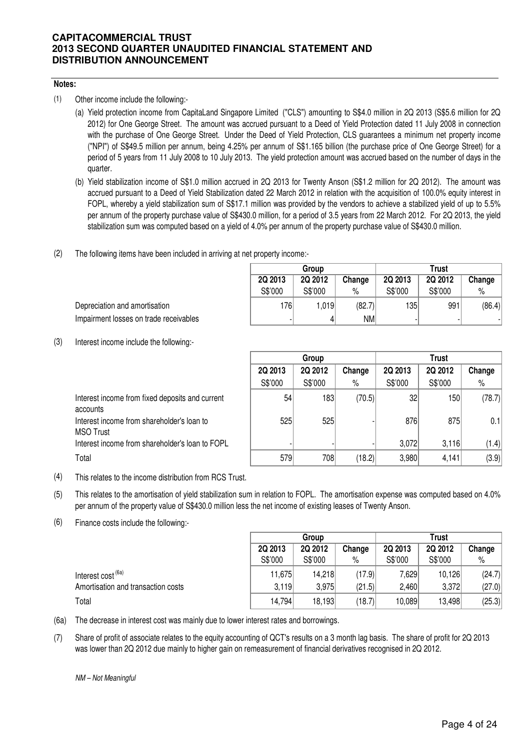### **Notes:**

(1) Other income include the following:-

- (a) Yield protection income from CapitaLand Singapore Limited ("CLS") amounting to S\$4.0 million in 2Q 2013 (S\$5.6 million for 2Q 2012) for One George Street. The amount was accrued pursuant to a Deed of Yield Protection dated 11 July 2008 in connection with the purchase of One George Street. Under the Deed of Yield Protection, CLS guarantees a minimum net property income ("NPI") of S\$49.5 million per annum, being 4.25% per annum of S\$1.165 billion (the purchase price of One George Street) for a period of 5 years from 11 July 2008 to 10 July 2013. The yield protection amount was accrued based on the number of days in the quarter.
- (b) Yield stabilization income of S\$1.0 million accrued in 2Q 2013 for Twenty Anson (S\$1.2 million for 2Q 2012). The amount was accrued pursuant to a Deed of Yield Stabilization dated 22 March 2012 in relation with the acquisition of 100.0% equity interest in FOPL, whereby a yield stabilization sum of S\$17.1 million was provided by the vendors to achieve a stabilized yield of up to 5.5% per annum of the property purchase value of S\$430.0 million, for a period of 3.5 years from 22 March 2012. For 2Q 2013, the yield stabilization sum was computed based on a yield of 4.0% per annum of the property purchase value of S\$430.0 million.
- (2) The following items have been included in arriving at net property income:-

|         | Group   |        |         | <b>Trust</b> |        |
|---------|---------|--------|---------|--------------|--------|
| 2Q 2013 | 2Q 2012 | Change | 2Q 2013 | 2Q 2012      | Change |
| S\$'000 | S\$'000 | $\%$   | S\$'000 | S\$'000      | $\%$   |
| 1761    | 1,019   | (82.7) | 135     | 991          | (86.4) |
| -       | 4       | NM     |         |              |        |

(3) Interest income include the following:-

Impairment losses on trade receivables

Depreciation and amortisation

|                                                                | Group   |         |        |                 | <b>Trust</b> |        |
|----------------------------------------------------------------|---------|---------|--------|-----------------|--------------|--------|
|                                                                | 2Q 2013 | 2Q 2012 | Change | 2Q 2013         | 2Q 2012      | Change |
|                                                                | S\$'000 | S\$'000 | %      | S\$'000         | S\$'000      | %      |
| Interest income from fixed deposits and current<br>accounts    | 54      | 183     | (70.5) | 32 <sub>l</sub> | 150          | (78.7) |
| Interest income from shareholder's loan to<br><b>MSO Trust</b> | 525     | 525     |        | 876             | 875          | 0.1    |
| Interest income from shareholder's loan to FOPL                |         |         |        | 3,072           | 3.116        | (1.4)  |
| Total                                                          | 579     | 708     | (18.2) | 3,980           | 4,141        | (3.9)  |

- (4) This relates to the income distribution from RCS Trust.
- (5) This relates to the amortisation of yield stabilization sum in relation to FOPL. The amortisation expense was computed based on 4.0% per annum of the property value of S\$430.0 million less the net income of existing leases of Twenty Anson.
- (6) Finance costs include the following:-

|                                    | Group   |         |        | <b>Trust</b> |         |        |  |
|------------------------------------|---------|---------|--------|--------------|---------|--------|--|
|                                    | 2Q 2013 | 2Q 2012 | Change | 2Q 2013      | 2Q 2012 | Change |  |
|                                    | S\$'000 | S\$'000 | %      | S\$'000      | S\$'000 | %      |  |
| Interest cost <sup>(6a)</sup>      | 11,675  | 14,218  | (17.9) | 7,629        | 10,126  | (24.7) |  |
| Amortisation and transaction costs | 3,119   | 3.975   | (21.5) | 2,460        | 3,372   | (27.0) |  |
| Total                              | 14,794  | 18,193  | (18.7) | 10,089       | 13,498  | (25.3) |  |

(6a) The decrease in interest cost was mainly due to lower interest rates and borrowings.

(7) Share of profit of associate relates to the equity accounting of QCT's results on a 3 month lag basis. The share of profit for 2Q 2013 was lower than 2Q 2012 due mainly to higher gain on remeasurement of financial derivatives recognised in 2Q 2012.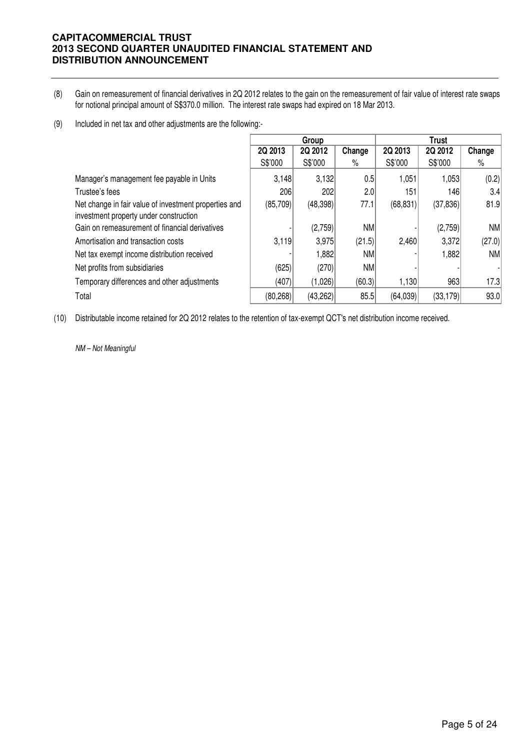- (8) Gain on remeasurement of financial derivatives in 2Q 2012 relates to the gain on the remeasurement of fair value of interest rate swaps for notional principal amount of S\$370.0 million. The interest rate swaps had expired on 18 Mar 2013.
- (9) Included in net tax and other adjustments are the following:-

|                                                       |           | Group    |        |           | Trust     |           |
|-------------------------------------------------------|-----------|----------|--------|-----------|-----------|-----------|
|                                                       | 2Q 2013   | 2Q 2012  | Change | 2Q 2013   | 2Q 2012   | Change    |
|                                                       | S\$'000   | S\$'000  | %      | S\$'000   | S\$'000   | %         |
| Manager's management fee payable in Units             | 3,148     | 3,132    | 0.5    | 1,051     | 1,053     | (0.2)     |
| Trustee's fees                                        | 206       | 202      | 2.0    | 151       | 146       | 3.4       |
| Net change in fair value of investment properties and | (85,709)  | (48,398) | 77.1   | (68, 831) | (37, 836) | 81.9      |
| investment property under construction                |           |          |        |           |           |           |
| Gain on remeasurement of financial derivatives        |           | (2,759)  | NM     |           | (2,759)   | <b>NM</b> |
| Amortisation and transaction costs                    | 3.119     | 3,975    | (21.5) | 2,460     | 3,372     | (27.0)    |
| Net tax exempt income distribution received           |           | 1,882    | NM     |           | 1,882     | NM        |
| Net profits from subsidiaries                         | (625)     | (270)    | NM     |           |           |           |
| Temporary differences and other adjustments           | (407)     | (1,026)  | (60.3) | 1,130     | 963       | 17.3      |
| Total                                                 | (80, 268) | (43,262) | 85.5   | (64, 039) | (33, 179) | 93.0      |

(10) Distributable income retained for 2Q 2012 relates to the retention of tax-exempt QCT's net distribution income received.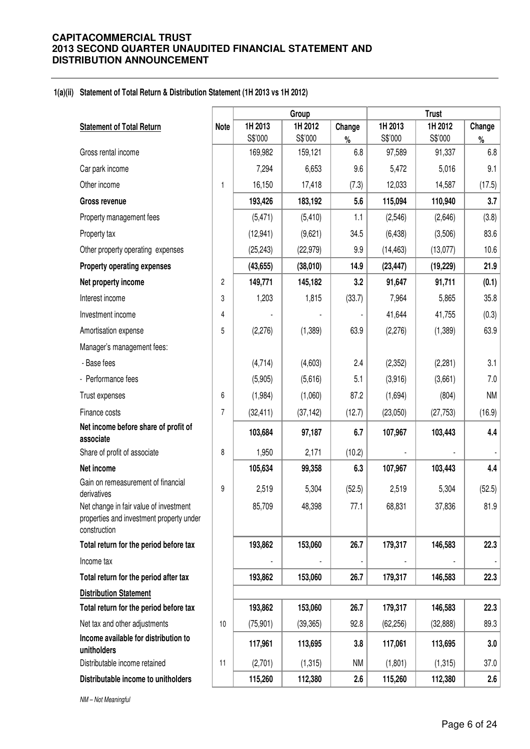#### **1(a)(ii) Statement of Total Return & Distribution Statement (1H 2013 vs 1H 2012)**

|                                                                                                    |             |           | Group     |           | <b>Trust</b> |           |           |  |
|----------------------------------------------------------------------------------------------------|-------------|-----------|-----------|-----------|--------------|-----------|-----------|--|
| <b>Statement of Total Return</b>                                                                   | <b>Note</b> | 1H 2013   | 1H 2012   | Change    | 1H 2013      | 1H 2012   | Change    |  |
|                                                                                                    |             | S\$'000   | S\$'000   | $\%$      | S\$'000      | S\$'000   | $\%$      |  |
| Gross rental income                                                                                |             | 169,982   | 159,121   | 6.8       | 97,589       | 91,337    | 6.8       |  |
| Car park income                                                                                    |             | 7,294     | 6,653     | 9.6       | 5,472        | 5,016     | 9.1       |  |
| Other income                                                                                       | 1           | 16,150    | 17,418    | (7.3)     | 12,033       | 14,587    | (17.5)    |  |
| <b>Gross revenue</b>                                                                               |             | 193,426   | 183,192   | 5.6       | 115,094      | 110,940   | 3.7       |  |
| Property management fees                                                                           |             | (5, 471)  | (5, 410)  | 1.1       | (2, 546)     | (2,646)   | (3.8)     |  |
| Property tax                                                                                       |             | (12, 941) | (9,621)   | 34.5      | (6, 438)     | (3,506)   | 83.6      |  |
| Other property operating expenses                                                                  |             | (25, 243) | (22, 979) | 9.9       | (14, 463)    | (13,077)  | 10.6      |  |
| <b>Property operating expenses</b>                                                                 |             | (43, 655) | (38,010)  | 14.9      | (23, 447)    | (19, 229) | 21.9      |  |
| Net property income                                                                                | 2           | 149,771   | 145,182   | 3.2       | 91,647       | 91,711    | (0.1)     |  |
| Interest income                                                                                    | 3           | 1,203     | 1,815     | (33.7)    | 7,964        | 5,865     | 35.8      |  |
| Investment income                                                                                  | 4           |           |           |           | 41,644       | 41,755    | (0.3)     |  |
| Amortisation expense                                                                               | 5           | (2,276)   | (1, 389)  | 63.9      | (2,276)      | (1,389)   | 63.9      |  |
| Manager's management fees:                                                                         |             |           |           |           |              |           |           |  |
| - Base fees                                                                                        |             | (4,714)   | (4,603)   | 2.4       | (2, 352)     | (2, 281)  | 3.1       |  |
| - Performance fees                                                                                 |             | (5,905)   | (5,616)   | 5.1       | (3,916)      | (3,661)   | 7.0       |  |
| Trust expenses                                                                                     | 6           | (1,984)   | (1,060)   | 87.2      | (1,694)      | (804)     | <b>NM</b> |  |
| Finance costs                                                                                      | 7           | (32, 411) | (37, 142) | (12.7)    | (23,050)     | (27, 753) | (16.9)    |  |
| Net income before share of profit of<br>associate                                                  |             | 103,684   | 97,187    | 6.7       | 107,967      | 103,443   | 4.4       |  |
| Share of profit of associate                                                                       | 8           | 1,950     | 2,171     | (10.2)    |              |           |           |  |
| Net income                                                                                         |             | 105,634   | 99,358    | 6.3       | 107,967      | 103,443   | 4.4       |  |
| Gain on remeasurement of financial<br>derivatives                                                  | 9           | 2,519     | 5,304     | (52.5)    | 2,519        | 5,304     | (52.5)    |  |
| Net change in fair value of investment<br>properties and investment property under<br>construction |             | 85,709    | 48,398    | 77.1      | 68,831       | 37,836    | 81.9      |  |
| Total return for the period before tax                                                             |             | 193,862   | 153,060   | 26.7      | 179,317      | 146,583   | 22.3      |  |
| Income tax                                                                                         |             |           |           |           |              |           |           |  |
| Total return for the period after tax                                                              |             | 193,862   | 153,060   | 26.7      | 179,317      | 146,583   | 22.3      |  |
| <b>Distribution Statement</b>                                                                      |             |           |           |           |              |           |           |  |
| Total return for the period before tax                                                             |             | 193,862   | 153,060   | 26.7      | 179,317      | 146,583   | 22.3      |  |
| Net tax and other adjustments                                                                      | 10          | (75, 901) | (39, 365) | 92.8      | (62, 256)    | (32, 888) | 89.3      |  |
| Income available for distribution to<br>unitholders                                                |             | 117,961   | 113,695   | 3.8       | 117,061      | 113,695   | 3.0       |  |
| Distributable income retained                                                                      | 11          | (2,701)   | (1, 315)  | <b>NM</b> | (1,801)      | (1, 315)  | 37.0      |  |
| Distributable income to unitholders                                                                |             | 115,260   | 112,380   | 2.6       | 115,260      | 112,380   | 2.6       |  |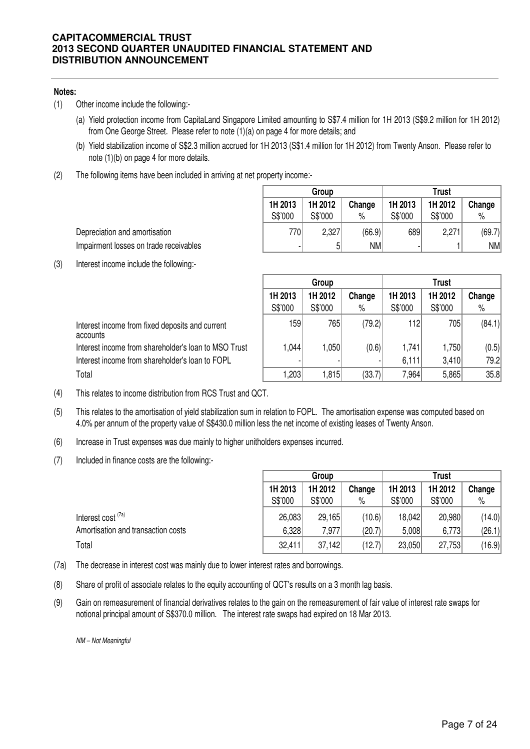### **Notes:**

- (1) Other income include the following:-
	- (a) Yield protection income from CapitaLand Singapore Limited amounting to S\$7.4 million for 1H 2013 (S\$9.2 million for 1H 2012) from One George Street. Please refer to note (1)(a) on page 4 for more details; and
	- (b) Yield stabilization income of S\$2.3 million accrued for 1H 2013 (S\$1.4 million for 1H 2012) from Twenty Anson. Please refer to note (1)(b) on page 4 for more details.
- (2) The following items have been included in arriving at net property income:-

|         | Group   |           | <b>Trust</b> |         |        |  |
|---------|---------|-----------|--------------|---------|--------|--|
| 1H 2013 | 1H 2012 | Change    | 1H 2013      | 1H 2012 | Change |  |
| S\$'000 | S\$'000 | $\%$      | S\$'000      | S\$'000 | $\%$   |  |
| 770     | 2,327   | (66.9)    | 689          | 2,271   | (69.7) |  |
|         | 5       | <b>NM</b> |              |         | NM     |  |

Depreciation and amortisation Impairment losses on trade receivables

(3) Interest income include the following:-

|                                                             | Group              |                    |                | Trust              |                    |                |  |
|-------------------------------------------------------------|--------------------|--------------------|----------------|--------------------|--------------------|----------------|--|
|                                                             | 1H 2013<br>S\$'000 | 1H 2012<br>S\$'000 | Change<br>$\%$ | 1H 2013<br>S\$'000 | 1H 2012<br>S\$'000 | Change<br>$\%$ |  |
| Interest income from fixed deposits and current<br>accounts | 159                | 765                | (79.2)         | 112                | 705                | (84.1)         |  |
| Interest income from shareholder's loan to MSO Trust        | .044               | 1,050              | (0.6)          | 1,741              | 1,750              | (0.5)          |  |
| Interest income from shareholder's loan to FOPL             |                    |                    |                | 6,111              | 3,410              | 79.2           |  |
| Total                                                       | ,203               | 1,815              | (33.7)         | 7,964              | 5,865              | 35.8           |  |

- (4) This relates to income distribution from RCS Trust and QCT.
- (5) This relates to the amortisation of yield stabilization sum in relation to FOPL. The amortisation expense was computed based on 4.0% per annum of the property value of S\$430.0 million less the net income of existing leases of Twenty Anson.
- (6) Increase in Trust expenses was due mainly to higher unitholders expenses incurred.
- (7) Included in finance costs are the following:-

|                                    |         | Group   |        |         | I rust  |        |  |
|------------------------------------|---------|---------|--------|---------|---------|--------|--|
|                                    | 1H 2013 | 1H 2012 | Change | 1H 2013 | 1H 2012 | Change |  |
|                                    | S\$'000 | S\$'000 | $\%$   | S\$'000 | S\$'000 | $\%$   |  |
| Interest cost <sup>(7a)</sup>      | 26,083  | 29,165  | (10.6) | 18,042  | 20,980  | (14.0) |  |
| Amortisation and transaction costs | 6,328   | 7,977   | (20.7) | 5,008   | 6,773   | (26.1) |  |
| Total                              | 32,411  | 37,142  | (12.7) | 23,050  | 27,753  | (16.9) |  |

- (7a) The decrease in interest cost was mainly due to lower interest rates and borrowings.
- (8) Share of profit of associate relates to the equity accounting of QCT's results on a 3 month lag basis.
- (9) Gain on remeasurement of financial derivatives relates to the gain on the remeasurement of fair value of interest rate swaps for notional principal amount of S\$370.0 million. The interest rate swaps had expired on 18 Mar 2013.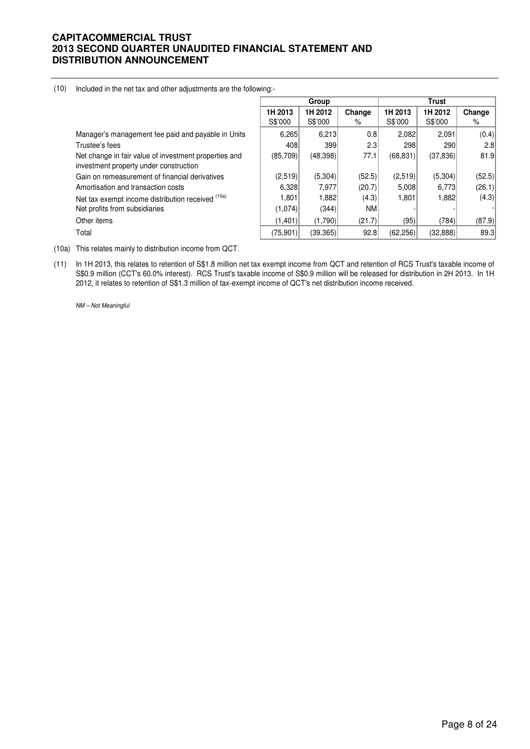| (10) | Included in the net tax and other adjustments are the following:- |  |  |
|------|-------------------------------------------------------------------|--|--|
|------|-------------------------------------------------------------------|--|--|

|                                                                                                 |                    | Group              |                  |                    | <b>Trust</b>       |             |
|-------------------------------------------------------------------------------------------------|--------------------|--------------------|------------------|--------------------|--------------------|-------------|
|                                                                                                 | 1H 2013<br>S\$'000 | 1H 2012<br>S\$'000 | Change<br>%      | 1H 2013<br>S\$'000 | 1H 2012<br>S\$'000 | Change<br>% |
| Manager's management fee paid and payable in Units                                              | 6,265              | 6,213              | 0.8              | 2,082              | 2.091              | (0.4)       |
| Trustee's fees                                                                                  | 408                | 399                | 2.3 <sub>1</sub> | 298                | 290                | 2.8         |
| Net change in fair value of investment properties and<br>investment property under construction | (85,709)           | (48,398)           | 77.1             | (68, 831)          | (37, 836)          | 81.9        |
| Gain on remeasurement of financial derivatives                                                  | (2,519)            | (5,304)            | (52.5)           | (2,519)            | (5,304)            | (52.5)      |
| Amortisation and transaction costs                                                              | 6,328              | 7,977              | (20.7)           | 5,008              | 6,773              | (26.1)      |
| Net tax exempt income distribution received (10a)                                               | 1,801              | 1,882              | (4.3)            | 1,801              | 1,882              | (4.3)       |
| Net profits from subsidiaries                                                                   | (1,074)            | (344)              | <b>NM</b>        |                    |                    |             |
| Other items                                                                                     | (1.401)            | (1,790)            | (21.7)           | (95)               | (784)              | (87.9)      |
| Total                                                                                           | (75, 901)          | (39, 365)          | 92.8             | (62, 256)          | (32, 888)          | 89.3        |

- (10a) This relates mainly to distribution income from QCT.
- (11) In 1H 2013, this relates to retention of S\$1.8 million net tax exempt income from QCT and retention of RCS Trust's taxable income of S\$0.9 million (CCT's 60.0% interest). RCS Trust's taxable income of S\$0.9 million will be released for distribution in 2H 2013. In 1H 2012, it relates to retention of S\$1.3 million of tax-exempt income of QCT's net distribution income received.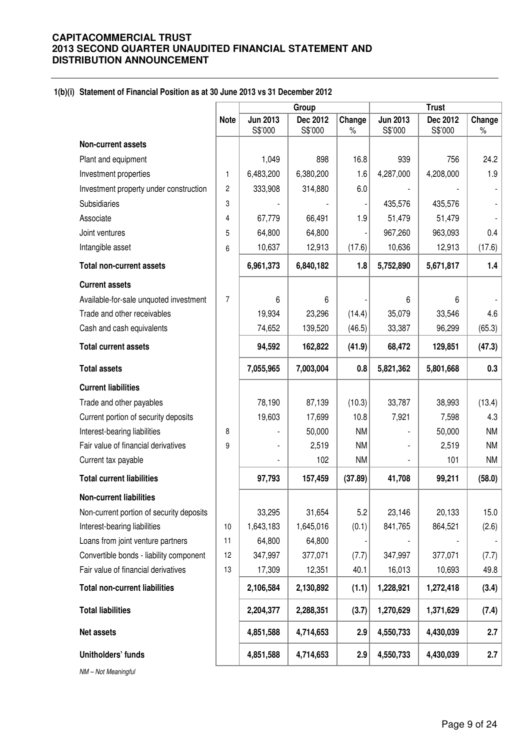#### **1(b)(i) Statement of Financial Position as at 30 June 2013 vs 31 December 2012**

|                                          |                |                            | Group               |                |                            | <b>Trust</b>        |                |
|------------------------------------------|----------------|----------------------------|---------------------|----------------|----------------------------|---------------------|----------------|
|                                          | <b>Note</b>    | <b>Jun 2013</b><br>S\$'000 | Dec 2012<br>S\$'000 | Change<br>$\%$ | <b>Jun 2013</b><br>S\$'000 | Dec 2012<br>S\$'000 | Change<br>$\%$ |
| Non-current assets                       |                |                            |                     |                |                            |                     |                |
| Plant and equipment                      |                | 1,049                      | 898                 | 16.8           | 939                        | 756                 | 24.2           |
| Investment properties                    | $\mathbf{1}$   | 6,483,200                  | 6,380,200           | 1.6            | 4,287,000                  | 4,208,000           | 1.9            |
| Investment property under construction   | $\overline{c}$ | 333,908                    | 314,880             | 6.0            |                            |                     |                |
| Subsidiaries                             | 3              |                            |                     |                | 435,576                    | 435,576             |                |
| Associate                                | 4              | 67,779                     | 66,491              | 1.9            | 51,479                     | 51,479              |                |
| Joint ventures                           | 5              | 64,800                     | 64,800              |                | 967,260                    | 963,093             | 0.4            |
| Intangible asset                         | 6              | 10,637                     | 12,913              | (17.6)         | 10,636                     | 12,913              | (17.6)         |
| <b>Total non-current assets</b>          |                | 6,961,373                  | 6,840,182           | 1.8            | 5,752,890                  | 5,671,817           | 1.4            |
| <b>Current assets</b>                    |                |                            |                     |                |                            |                     |                |
| Available-for-sale unquoted investment   | $\overline{7}$ | 6                          | 6                   |                | 6                          | 6                   |                |
| Trade and other receivables              |                | 19,934                     | 23,296              | (14.4)         | 35,079                     | 33,546              | 4.6            |
| Cash and cash equivalents                |                | 74,652                     | 139,520             | (46.5)         | 33,387                     | 96,299              | (65.3)         |
| <b>Total current assets</b>              |                | 94,592                     | 162,822             | (41.9)         | 68,472                     | 129,851             | (47.3)         |
| <b>Total assets</b>                      |                | 7,055,965                  | 7,003,004           | 0.8            | 5,821,362                  | 5,801,668           | 0.3            |
| <b>Current liabilities</b>               |                |                            |                     |                |                            |                     |                |
| Trade and other payables                 |                | 78,190                     | 87,139              | (10.3)         | 33,787                     | 38,993              | (13.4)         |
| Current portion of security deposits     |                | 19,603                     | 17,699              | 10.8           | 7,921                      | 7,598               | 4.3            |
| Interest-bearing liabilities             | 8              |                            | 50,000              | <b>NM</b>      |                            | 50,000              | <b>NM</b>      |
| Fair value of financial derivatives      | 9              |                            | 2,519               | <b>NM</b>      |                            | 2,519               | <b>NM</b>      |
| Current tax payable                      |                |                            | 102                 | <b>NM</b>      |                            | 101                 | <b>NM</b>      |
| <b>Total current liabilities</b>         |                | 97,793                     | 157,459             | (37.89)        | 41,708                     | 99,211              | (58.0)         |
| <b>Non-current liabilities</b>           |                |                            |                     |                |                            |                     |                |
| Non-current portion of security deposits |                | 33,295                     | 31,654              | 5.2            | 23,146                     | 20,133              | 15.0           |
| Interest-bearing liabilities             | 10             | 1,643,183                  | 1,645,016           | (0.1)          | 841,765                    | 864,521             | (2.6)          |
| Loans from joint venture partners        | 11             | 64,800                     | 64,800              |                |                            |                     |                |
| Convertible bonds - liability component  | 12             | 347,997                    | 377,071             | (7.7)          | 347,997                    | 377,071             | (7.7)          |
| Fair value of financial derivatives      | 13             | 17,309                     | 12,351              | 40.1           | 16,013                     | 10,693              | 49.8           |
| <b>Total non-current liabilities</b>     |                | 2,106,584                  | 2,130,892           | (1.1)          | 1,228,921                  | 1,272,418           | (3.4)          |
| <b>Total liabilities</b>                 |                | 2,204,377                  | 2,288,351           | (3.7)          | 1,270,629                  | 1,371,629           | (7.4)          |
| <b>Net assets</b>                        |                | 4,851,588                  | 4,714,653           | 2.9            | 4,550,733                  | 4,430,039           | 2.7            |
| Unitholders' funds                       |                | 4,851,588                  | 4,714,653           | 2.9            | 4,550,733                  | 4,430,039           | 2.7            |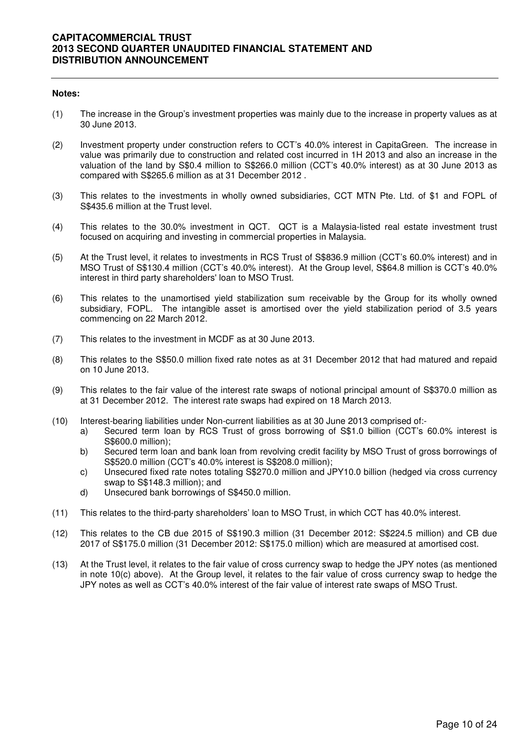- (1) The increase in the Group's investment properties was mainly due to the increase in property values as at 30 June 2013.
- (2) Investment property under construction refers to CCT's 40.0% interest in CapitaGreen. The increase in value was primarily due to construction and related cost incurred in 1H 2013 and also an increase in the valuation of the land by S\$0.4 million to S\$266.0 million (CCT's 40.0% interest) as at 30 June 2013 as compared with S\$265.6 million as at 31 December 2012 .
- (3) This relates to the investments in wholly owned subsidiaries, CCT MTN Pte. Ltd. of \$1 and FOPL of S\$435.6 million at the Trust level.
- (4) This relates to the 30.0% investment in QCT. QCT is a Malaysia-listed real estate investment trust focused on acquiring and investing in commercial properties in Malaysia.
- (5) At the Trust level, it relates to investments in RCS Trust of S\$836.9 million (CCT's 60.0% interest) and in MSO Trust of S\$130.4 million (CCT's 40.0% interest). At the Group level, S\$64.8 million is CCT's 40.0% interest in third party shareholders' loan to MSO Trust.
- (6) This relates to the unamortised yield stabilization sum receivable by the Group for its wholly owned subsidiary, FOPL. The intangible asset is amortised over the yield stabilization period of 3.5 years commencing on 22 March 2012.
- (7) This relates to the investment in MCDF as at 30 June 2013.
- (8) This relates to the S\$50.0 million fixed rate notes as at 31 December 2012 that had matured and repaid on 10 June 2013.
- (9) This relates to the fair value of the interest rate swaps of notional principal amount of S\$370.0 million as at 31 December 2012. The interest rate swaps had expired on 18 March 2013.
- (10) Interest-bearing liabilities under Non-current liabilities as at 30 June 2013 comprised of:
	- a) Secured term loan by RCS Trust of gross borrowing of S\$1.0 billion (CCT's 60.0% interest is S\$600.0 million);
	- b) Secured term loan and bank loan from revolving credit facility by MSO Trust of gross borrowings of S\$520.0 million (CCT's 40.0% interest is S\$208.0 million);
	- c) Unsecured fixed rate notes totaling S\$270.0 million and JPY10.0 billion (hedged via cross currency swap to S\$148.3 million); and
	- d) Unsecured bank borrowings of S\$450.0 million.
- (11) This relates to the third-party shareholders' loan to MSO Trust, in which CCT has 40.0% interest.
- (12) This relates to the CB due 2015 of S\$190.3 million (31 December 2012: S\$224.5 million) and CB due 2017 of S\$175.0 million (31 December 2012: S\$175.0 million) which are measured at amortised cost.
- (13) At the Trust level, it relates to the fair value of cross currency swap to hedge the JPY notes (as mentioned in note 10(c) above). At the Group level, it relates to the fair value of cross currency swap to hedge the JPY notes as well as CCT's 40.0% interest of the fair value of interest rate swaps of MSO Trust.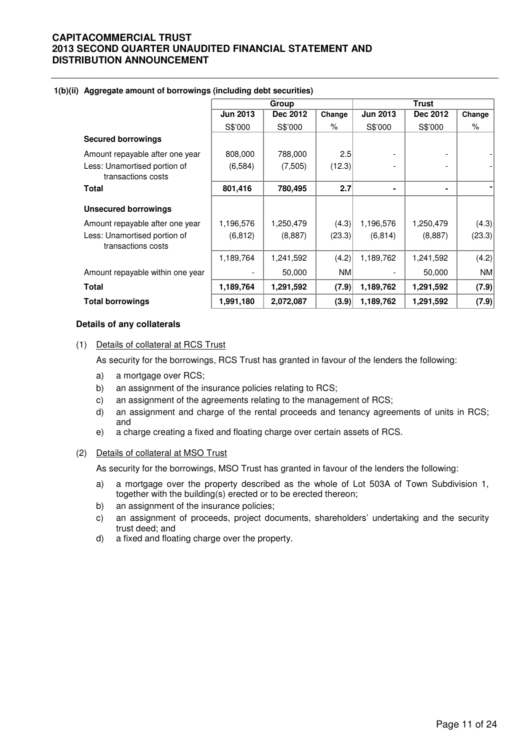|                                                    |                 | Group     |           |                 | <b>Trust</b> |        |
|----------------------------------------------------|-----------------|-----------|-----------|-----------------|--------------|--------|
|                                                    | <b>Jun 2013</b> | Dec 2012  | Change    | <b>Jun 2013</b> | Dec 2012     | Change |
|                                                    | S\$'000         | S\$'000   | %         | S\$'000         | S\$'000      | $\%$   |
| <b>Secured borrowings</b>                          |                 |           |           |                 |              |        |
| Amount repayable after one year                    | 808,000         | 788,000   | 2.5       |                 |              |        |
| Less: Unamortised portion of<br>transactions costs | (6, 584)        | (7,505)   | (12.3)    |                 |              |        |
| <b>Total</b>                                       | 801,416         | 780,495   | 2.7       |                 | ٠            |        |
| <b>Unsecured borrowings</b>                        |                 |           |           |                 |              |        |
| Amount repayable after one year                    | 1,196,576       | 1,250,479 | (4.3)     | 1,196,576       | 1,250,479    | (4.3)  |
| Less: Unamortised portion of<br>transactions costs | (6, 812)        | (8,887)   | (23.3)    | (6, 814)        | (8,887)      | (23.3) |
|                                                    | 1,189,764       | 1,241,592 | (4.2)     | 1,189,762       | 1,241,592    | (4.2)  |
| Amount repayable within one year                   |                 | 50,000    | <b>NM</b> |                 | 50,000       | NM     |
| <b>Total</b>                                       | 1,189,764       | 1,291,592 | (7.9)     | 1,189,762       | 1,291,592    | (7.9)  |
| <b>Total borrowings</b>                            | 1,991,180       | 2,072,087 | (3.9)     | 1,189,762       | 1,291,592    | (7.9)  |

#### **1(b)(ii) Aggregate amount of borrowings (including debt securities)**

#### **Details of any collaterals**

(1) Details of collateral at RCS Trust

As security for the borrowings, RCS Trust has granted in favour of the lenders the following:

- a) a mortgage over RCS;
- b) an assignment of the insurance policies relating to RCS;
- c) an assignment of the agreements relating to the management of RCS;
- d) an assignment and charge of the rental proceeds and tenancy agreements of units in RCS; and
- e) a charge creating a fixed and floating charge over certain assets of RCS.

#### (2) Details of collateral at MSO Trust

As security for the borrowings, MSO Trust has granted in favour of the lenders the following:

- a) a mortgage over the property described as the whole of Lot 503A of Town Subdivision 1, together with the building(s) erected or to be erected thereon;
- b) an assignment of the insurance policies;
- c) an assignment of proceeds, project documents, shareholders' undertaking and the security trust deed; and
- d) a fixed and floating charge over the property.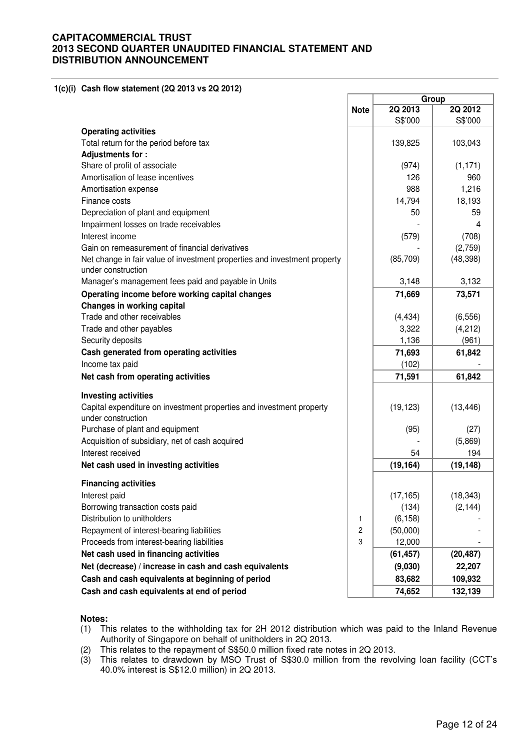**1(c)(i) Cash flow statement (2Q 2013 vs 2Q 2012)** 

|                                                                                    |             |           | Group           |
|------------------------------------------------------------------------------------|-------------|-----------|-----------------|
|                                                                                    | <b>Note</b> | 2Q 2013   | 2Q 2012         |
| <b>Operating activities</b>                                                        |             | S\$'000   | S\$'000         |
| Total return for the period before tax                                             |             | 139,825   | 103,043         |
| Adjustments for:                                                                   |             |           |                 |
| Share of profit of associate                                                       |             | (974)     | (1, 171)        |
| Amortisation of lease incentives                                                   |             | 126       | 960             |
| Amortisation expense                                                               |             | 988       | 1,216           |
| Finance costs                                                                      |             | 14,794    | 18,193          |
| Depreciation of plant and equipment                                                |             | 50        | 59              |
| Impairment losses on trade receivables                                             |             |           | 4               |
| Interest income                                                                    |             | (579)     | (708)           |
| Gain on remeasurement of financial derivatives                                     |             |           | (2,759)         |
| Net change in fair value of investment properties and investment property          |             | (85, 709) | (48, 398)       |
| under construction                                                                 |             |           |                 |
| Manager's management fees paid and payable in Units                                |             | 3,148     | 3,132           |
| Operating income before working capital changes                                    |             | 71,669    | 73,571          |
| Changes in working capital                                                         |             |           |                 |
| Trade and other receivables                                                        |             | (4, 434)  | (6, 556)        |
| Trade and other payables                                                           |             | 3,322     | (4,212)         |
| Security deposits                                                                  |             | 1,136     | (961)           |
| Cash generated from operating activities                                           |             | 71,693    | 61,842          |
| Income tax paid                                                                    |             | (102)     |                 |
| Net cash from operating activities                                                 |             | 71,591    | 61,842          |
| <b>Investing activities</b>                                                        |             |           |                 |
| Capital expenditure on investment properties and investment property               |             | (19, 123) | (13, 446)       |
| under construction                                                                 |             |           |                 |
| Purchase of plant and equipment<br>Acquisition of subsidiary, net of cash acquired |             | (95)      | (27)<br>(5,869) |
| Interest received                                                                  |             | 54        | 194             |
| Net cash used in investing activities                                              |             | (19, 164) | (19, 148)       |
|                                                                                    |             |           |                 |
| <b>Financing activities</b>                                                        |             |           |                 |
| Interest paid                                                                      |             | (17, 165) | (18, 343)       |
| Borrowing transaction costs paid                                                   |             | (134)     | (2, 144)        |
| Distribution to unitholders                                                        | 1           | (6, 158)  |                 |
| Repayment of interest-bearing liabilities                                          | 2           | (50,000)  |                 |
| Proceeds from interest-bearing liabilities                                         | 3           | 12,000    |                 |
| Net cash used in financing activities                                              |             | (61, 457) | (20, 487)       |
| Net (decrease) / increase in cash and cash equivalents                             |             | (9,030)   | 22,207          |
| Cash and cash equivalents at beginning of period                                   |             | 83,682    | 109,932         |
| Cash and cash equivalents at end of period                                         |             | 74,652    | 132,139         |

- (1) This relates to the withholding tax for 2H 2012 distribution which was paid to the Inland Revenue Authority of Singapore on behalf of unitholders in 2Q 2013.
- (2) This relates to the repayment of S\$50.0 million fixed rate notes in 2Q 2013.
- (3) This relates to drawdown by MSO Trust of S\$30.0 million from the revolving loan facility (CCT's 40.0% interest is S\$12.0 million) in 2Q 2013.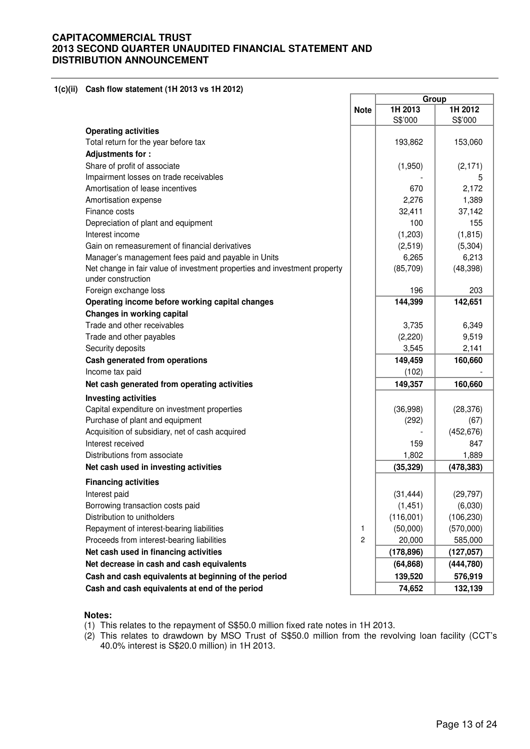#### **1(c)(ii) Cash flow statement (1H 2013 vs 1H 2012)**

|                                                                                                 |                | Group              |                    |
|-------------------------------------------------------------------------------------------------|----------------|--------------------|--------------------|
|                                                                                                 | <b>Note</b>    | 1H 2013<br>S\$'000 | 1H 2012<br>S\$'000 |
| <b>Operating activities</b>                                                                     |                |                    |                    |
| Total return for the year before tax                                                            |                | 193,862            | 153,060            |
| Adjustments for:                                                                                |                |                    |                    |
| Share of profit of associate                                                                    |                | (1,950)            | (2, 171)           |
| Impairment losses on trade receivables                                                          |                |                    | 5                  |
| Amortisation of lease incentives                                                                |                | 670                | 2,172              |
| Amortisation expense                                                                            |                | 2,276              | 1,389              |
| Finance costs                                                                                   |                | 32,411             | 37,142             |
| Depreciation of plant and equipment                                                             |                | 100                | 155                |
| Interest income                                                                                 |                | (1,203)            | (1, 815)           |
| Gain on remeasurement of financial derivatives                                                  |                | (2,519)            | (5,304)            |
| Manager's management fees paid and payable in Units                                             |                | 6,265              | 6,213              |
| Net change in fair value of investment properties and investment property<br>under construction |                | (85,709)           | (48, 398)          |
| Foreign exchange loss                                                                           |                | 196                | 203                |
| Operating income before working capital changes                                                 |                | 144,399            | 142,651            |
| Changes in working capital                                                                      |                |                    |                    |
| Trade and other receivables                                                                     |                | 3,735              | 6,349              |
| Trade and other payables                                                                        |                | (2,220)            | 9,519              |
| Security deposits                                                                               |                | 3,545              | 2,141              |
| Cash generated from operations                                                                  |                | 149,459            | 160,660            |
| Income tax paid                                                                                 |                | (102)              |                    |
| Net cash generated from operating activities                                                    |                | 149,357            | 160,660            |
| <b>Investing activities</b>                                                                     |                |                    |                    |
| Capital expenditure on investment properties                                                    |                | (36,998)           | (28, 376)          |
| Purchase of plant and equipment                                                                 |                | (292)              | (67)               |
| Acquisition of subsidiary, net of cash acquired                                                 |                |                    | (452, 676)         |
| Interest received                                                                               |                | 159                | 847                |
| Distributions from associate                                                                    |                | 1,802              | 1,889              |
| Net cash used in investing activities                                                           |                | (35, 329)          | (478, 383)         |
| <b>Financing activities</b>                                                                     |                |                    |                    |
| Interest paid                                                                                   |                | (31, 444)          | (29, 797)          |
| Borrowing transaction costs paid                                                                |                | (1, 451)           | (6,030)            |
| Distribution to unitholders                                                                     |                | (116,001)          | (106, 230)         |
| Repayment of interest-bearing liabilities                                                       | 1              | (50,000)           | (570,000)          |
| Proceeds from interest-bearing liabilities                                                      | $\overline{c}$ | 20,000             | 585,000            |
| Net cash used in financing activities                                                           |                | (178, 896)         | (127,057)          |
| Net decrease in cash and cash equivalents                                                       |                | (64, 868)          | (444, 780)         |
| Cash and cash equivalents at beginning of the period                                            |                | 139,520            | 576,919            |
| Cash and cash equivalents at end of the period                                                  |                | 74,652             | 132,139            |

- (1) This relates to the repayment of S\$50.0 million fixed rate notes in 1H 2013.
- (2) This relates to drawdown by MSO Trust of S\$50.0 million from the revolving loan facility (CCT's 40.0% interest is S\$20.0 million) in 1H 2013.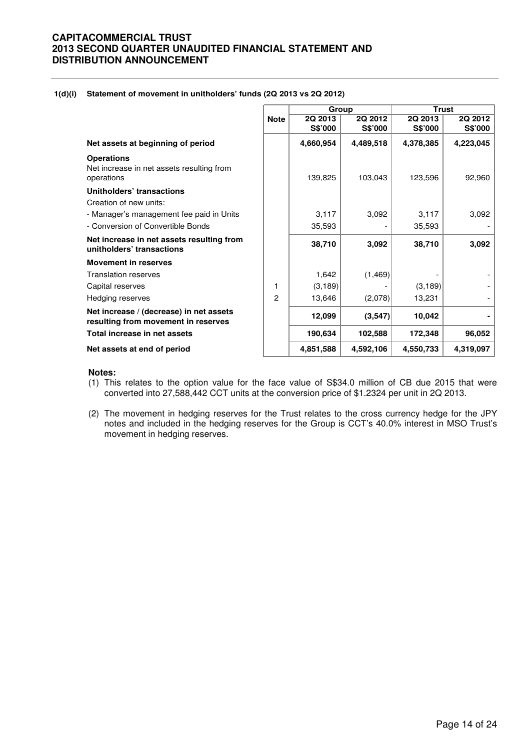| 1(d)(i) Statement of movement in unitholders' funds (2Q 2013 vs 2Q 2012) |  |
|--------------------------------------------------------------------------|--|
|                                                                          |  |

|                                                                                |                | Group     |           |           | <b>Trust</b> |
|--------------------------------------------------------------------------------|----------------|-----------|-----------|-----------|--------------|
|                                                                                | <b>Note</b>    | 2Q 2013   | 2Q 2012   | 2Q 2013   | 2Q 2012      |
|                                                                                |                | S\$'000   | S\$'000   | S\$'000   | S\$'000      |
| Net assets at beginning of period                                              |                | 4,660,954 | 4,489,518 | 4,378,385 | 4,223,045    |
| <b>Operations</b><br>Net increase in net assets resulting from<br>operations   |                | 139,825   | 103,043   | 123,596   | 92,960       |
| Unitholders' transactions                                                      |                |           |           |           |              |
| Creation of new units:                                                         |                |           |           |           |              |
| - Manager's management fee paid in Units                                       |                | 3,117     | 3,092     | 3,117     | 3,092        |
| - Conversion of Convertible Bonds                                              |                | 35,593    |           | 35,593    |              |
| Net increase in net assets resulting from<br>unitholders' transactions         |                | 38,710    | 3,092     | 38,710    | 3,092        |
| <b>Movement in reserves</b>                                                    |                |           |           |           |              |
| <b>Translation reserves</b>                                                    |                | 1,642     | (1, 469)  |           |              |
| Capital reserves                                                               | 1              | (3, 189)  |           | (3, 189)  |              |
| Hedging reserves                                                               | $\overline{c}$ | 13,646    | (2,078)   | 13,231    |              |
| Net increase / (decrease) in net assets<br>resulting from movement in reserves |                | 12,099    | (3, 547)  | 10,042    |              |
| Total increase in net assets                                                   |                | 190,634   | 102,588   | 172,348   | 96,052       |
| Net assets at end of period                                                    |                | 4,851,588 | 4,592,106 | 4,550,733 | 4,319,097    |

- (1) This relates to the option value for the face value of S\$34.0 million of CB due 2015 that were converted into 27,588,442 CCT units at the conversion price of \$1.2324 per unit in 2Q 2013.
- (2) The movement in hedging reserves for the Trust relates to the cross currency hedge for the JPY notes and included in the hedging reserves for the Group is CCT's 40.0% interest in MSO Trust's movement in hedging reserves.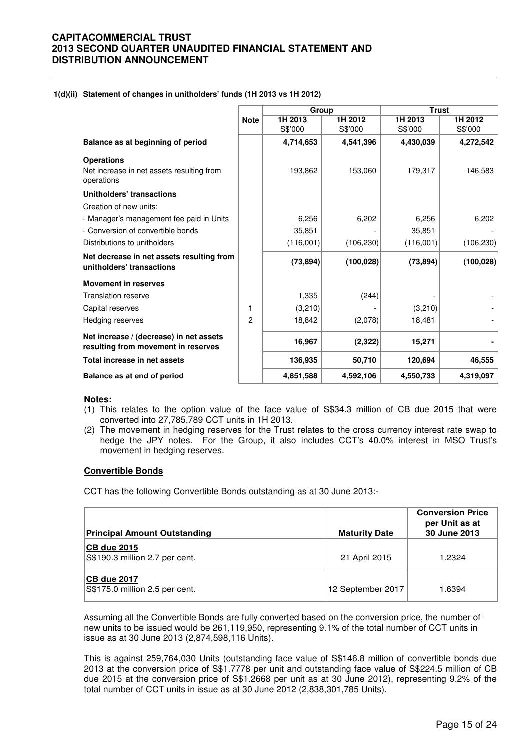#### **1(d)(ii) Statement of changes in unitholders' funds (1H 2013 vs 1H 2012)**

|                                                                                |                | Group     |            | <b>Trust</b> |            |
|--------------------------------------------------------------------------------|----------------|-----------|------------|--------------|------------|
|                                                                                | <b>Note</b>    | 1H 2013   | 1H 2012    | 1H 2013      | 1H 2012    |
|                                                                                |                | S\$'000   | S\$'000    | S\$'000      | S\$'000    |
| Balance as at beginning of period                                              |                | 4,714,653 | 4,541,396  | 4,430,039    | 4,272,542  |
| <b>Operations</b>                                                              |                |           |            |              |            |
| Net increase in net assets resulting from<br>operations                        |                | 193,862   | 153,060    | 179,317      | 146,583    |
| Unitholders' transactions                                                      |                |           |            |              |            |
| Creation of new units:                                                         |                |           |            |              |            |
| - Manager's management fee paid in Units                                       |                | 6,256     | 6,202      | 6,256        | 6,202      |
| - Conversion of convertible bonds                                              |                | 35,851    |            | 35,851       |            |
| Distributions to unitholders                                                   |                | (116,001) | (106, 230) | (116,001)    | (106, 230) |
| Net decrease in net assets resulting from<br>unitholders' transactions         |                | (73, 894) | (100, 028) | (73, 894)    | (100, 028) |
| <b>Movement in reserves</b>                                                    |                |           |            |              |            |
| <b>Translation reserve</b>                                                     |                | 1,335     | (244)      |              |            |
| Capital reserves                                                               | 1              | (3,210)   |            | (3,210)      |            |
| Hedging reserves                                                               | $\overline{c}$ | 18,842    | (2,078)    | 18,481       |            |
| Net increase / (decrease) in net assets<br>resulting from movement in reserves |                | 16,967    | (2, 322)   | 15,271       |            |
| Total increase in net assets                                                   |                | 136,935   | 50,710     | 120,694      | 46,555     |
| Balance as at end of period                                                    |                | 4,851,588 | 4,592,106  | 4,550,733    | 4,319,097  |

#### **Notes:**

- (1) This relates to the option value of the face value of S\$34.3 million of CB due 2015 that were converted into 27,785,789 CCT units in 1H 2013.
- (2) The movement in hedging reserves for the Trust relates to the cross currency interest rate swap to hedge the JPY notes. For the Group, it also includes CCT's 40.0% interest in MSO Trust's movement in hedging reserves.

#### **Convertible Bonds**

CCT has the following Convertible Bonds outstanding as at 30 June 2013:-

| Principal Amount Outstanding                         | <b>Maturity Date</b> | <b>Conversion Price</b><br>per Unit as at<br>30 June 2013 |
|------------------------------------------------------|----------------------|-----------------------------------------------------------|
| <b>CB due 2015</b><br>S\$190.3 million 2.7 per cent. | 21 April 2015        | 1.2324                                                    |
| <b>CB due 2017</b><br>S\$175.0 million 2.5 per cent. | 12 September 2017    | 1.6394                                                    |

Assuming all the Convertible Bonds are fully converted based on the conversion price, the number of new units to be issued would be 261,119,950, representing 9.1% of the total number of CCT units in issue as at 30 June 2013 (2,874,598,116 Units).

This is against 259,764,030 Units (outstanding face value of S\$146.8 million of convertible bonds due 2013 at the conversion price of S\$1.7778 per unit and outstanding face value of S\$224.5 million of CB due 2015 at the conversion price of S\$1.2668 per unit as at 30 June 2012), representing 9.2% of the total number of CCT units in issue as at 30 June 2012 (2,838,301,785 Units).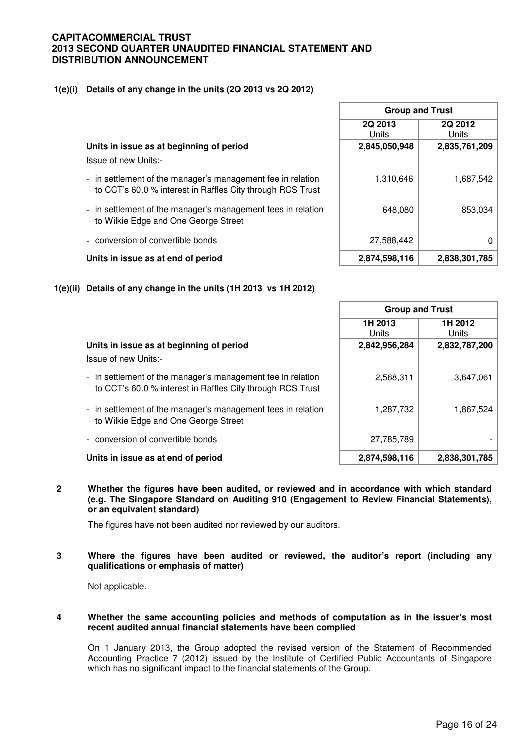### **1(e)(i) Details of any change in the units (2Q 2013 vs 2Q 2012)**

**Units in issue as at beginning of period 2,845,050,948 2,835,761,209**

Issue of new Units:-

- in settlement of the manager's management fee in relation to CCT's 60.0 % interest in Raffles City through RCS Trust
- in settlement of the manager's management fees in relation to Wilkie Edge and One George Street
- conversion of convertible bonds
- **Units in issue as at end of period 2,874,598,116 2,838,301,785**

### **1(e)(ii) Details of any change in the units (1H 2013 vs 1H 2012)**

|                                                                                                                           |                  | <b>Group and Trust</b> |
|---------------------------------------------------------------------------------------------------------------------------|------------------|------------------------|
|                                                                                                                           | 1H 2013<br>Units | 1H 2012<br>Units       |
| Units in issue as at beginning of period<br>Issue of new Units:-                                                          | 2,842,956,284    | 2,832,787,200          |
| - in settlement of the manager's management fee in relation<br>to CCT's 60.0 % interest in Raffles City through RCS Trust | 2,568,311        | 3,647,061              |
| - in settlement of the manager's management fees in relation<br>to Wilkie Edge and One George Street                      | 1,287,732        | 1,867,524              |
| - conversion of convertible bonds                                                                                         | 27,785,789       |                        |
| Units in issue as at end of period                                                                                        | 2,874,598,116    | 2,838,301,785          |

**2 Whether the figures have been audited, or reviewed and in accordance with which standard (e.g. The Singapore Standard on Auditing 910 (Engagement to Review Financial Statements), or an equivalent standard)** 

The figures have not been audited nor reviewed by our auditors.

**3 Where the figures have been audited or reviewed, the auditor's report (including any qualifications or emphasis of matter)** 

Not applicable.

#### **4 Whether the same accounting policies and methods of computation as in the issuer's most recent audited annual financial statements have been complied**

On 1 January 2013, the Group adopted the revised version of the Statement of Recommended Accounting Practice 7 (2012) issued by the Institute of Certified Public Accountants of Singapore which has no significant impact to the financial statements of the Group.

| <b>Group and Trust</b> |                  |
|------------------------|------------------|
| 2Q 2012<br>Units       | 2Q 2013<br>Units |
| 2,835,761,209          | 2,845,050,948    |
| 1,687,542              | 1,310,646        |
| 853,034                | 648,080          |
|                        |                  |
| 0                      | 27,588,442       |
| 2.838.301.785          | 2.874.598.116    |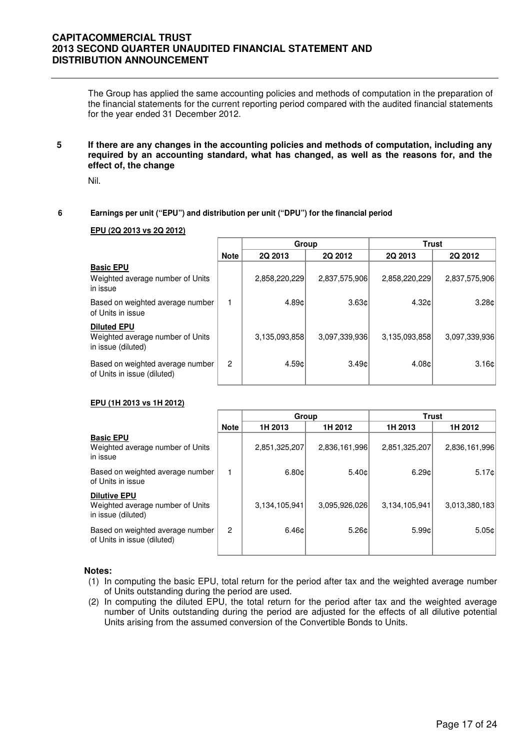The Group has applied the same accounting policies and methods of computation in the preparation of the financial statements for the current reporting period compared with the audited financial statements for the year ended 31 December 2012.

**5 If there are any changes in the accounting policies and methods of computation, including any required by an accounting standard, what has changed, as well as the reasons for, and the effect of, the change** 

Nil.

#### **6 Earnings per unit ("EPU") and distribution per unit ("DPU") for the financial period**

#### **EPU (2Q 2013 vs 2Q 2012)**

|                                                                              |             | Group         |               | <b>Trust</b>  |                   |  |
|------------------------------------------------------------------------------|-------------|---------------|---------------|---------------|-------------------|--|
|                                                                              | <b>Note</b> | 2Q 2013       | 2Q 2012       | 2Q 2013       | 2Q 2012           |  |
| <b>Basic EPU</b><br>Weighted average number of Units<br>in issue             |             | 2,858,220,229 | 2,837,575,906 | 2,858,220,229 | 2,837,575,906     |  |
| Based on weighted average number<br>of Units in issue                        |             | 4.89¢         | 3.63c         | 4.32c         | 3.28c             |  |
| <b>Diluted EPU</b><br>Weighted average number of Units<br>in issue (diluted) |             | 3,135,093,858 | 3,097,339,936 | 3,135,093,858 | 3,097,339,936     |  |
| Based on weighted average number<br>of Units in issue (diluted)              | 2           | 4.59c         | 3.49c         | 4.08c         | 3.16 <sub>c</sub> |  |

#### **EPU (1H 2013 vs 1H 2012)**

|                                                                               |             | Group         |               | Trust         |               |  |
|-------------------------------------------------------------------------------|-------------|---------------|---------------|---------------|---------------|--|
|                                                                               | <b>Note</b> | 1H 2013       | 1H 2012       | 1H 2013       | 1H 2012       |  |
| <b>Basic EPU</b><br>Weighted average number of Units<br>in issue              |             | 2,851,325,207 | 2,836,161,996 | 2,851,325,207 | 2,836,161,996 |  |
| Based on weighted average number<br>of Units in issue                         |             | 6.80c         | 5.40c         | 6.29c         | 5.17c         |  |
| <b>Dilutive EPU</b><br>Weighted average number of Units<br>in issue (diluted) |             | 3,134,105,941 | 3,095,926,026 | 3,134,105,941 | 3,013,380,183 |  |
| Based on weighted average number<br>of Units in issue (diluted)               | 2           | 6.46c         | 5.26c         | 5.99¢         | 5.05c         |  |

- (1) In computing the basic EPU, total return for the period after tax and the weighted average number of Units outstanding during the period are used.
- (2) In computing the diluted EPU, the total return for the period after tax and the weighted average number of Units outstanding during the period are adjusted for the effects of all dilutive potential Units arising from the assumed conversion of the Convertible Bonds to Units.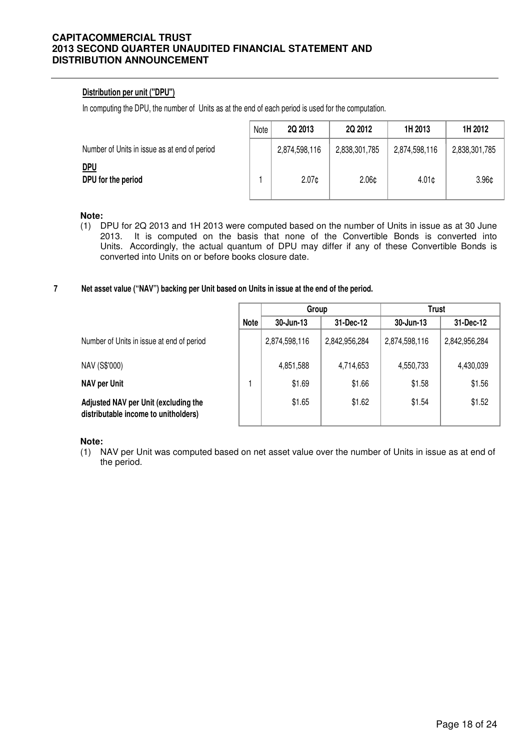### **Distribution per unit ("DPU")**

In computing the DPU, the number of Units as at the end of each period is used for the computation.

|                                              | Note | 2Q 2013           | 2Q 2012           | 1H 2013           | 1H 2012           |
|----------------------------------------------|------|-------------------|-------------------|-------------------|-------------------|
| Number of Units in issue as at end of period |      | 2,874,598,116     | 2,838,301,785     | 2,874,598,116     | 2,838,301,785     |
| <u>DPU</u><br>DPU for the period             |      | 2.07 <sub>c</sub> | 2.06 <sub>¢</sub> | 4.01 <sub>c</sub> | 3.96 <sub>¢</sub> |

#### **Note:**

(1) DPU for 2Q 2013 and 1H 2013 were computed based on the number of Units in issue as at 30 June 2013. It is computed on the basis that none of the Convertible Bonds is converted into Units. Accordingly, the actual quantum of DPU may differ if any of these Convertible Bonds is converted into Units on or before books closure date.

#### **7 Net asset value ("NAV") backing per Unit based on Units in issue at the end of the period.**

|                                                                              |             | Group         |               | <b>Trust</b>  |               |
|------------------------------------------------------------------------------|-------------|---------------|---------------|---------------|---------------|
|                                                                              | <b>Note</b> | 30-Jun-13     | 31-Dec-12     | 30-Jun-13     | 31-Dec-12     |
| Number of Units in issue at end of period                                    |             | 2,874,598,116 | 2,842,956,284 | 2,874,598,116 | 2,842,956,284 |
| NAV (S\$'000)                                                                |             | 4,851,588     | 4,714,653     | 4,550,733     | 4,430,039     |
| <b>NAV per Unit</b>                                                          |             | \$1.69        | \$1.66        | \$1.58        | \$1.56        |
| Adjusted NAV per Unit (excluding the<br>distributable income to unitholders) |             | \$1.65        | \$1.62        | \$1.54        | \$1.52        |

**Note:**

(1) NAV per Unit was computed based on net asset value over the number of Units in issue as at end of the period.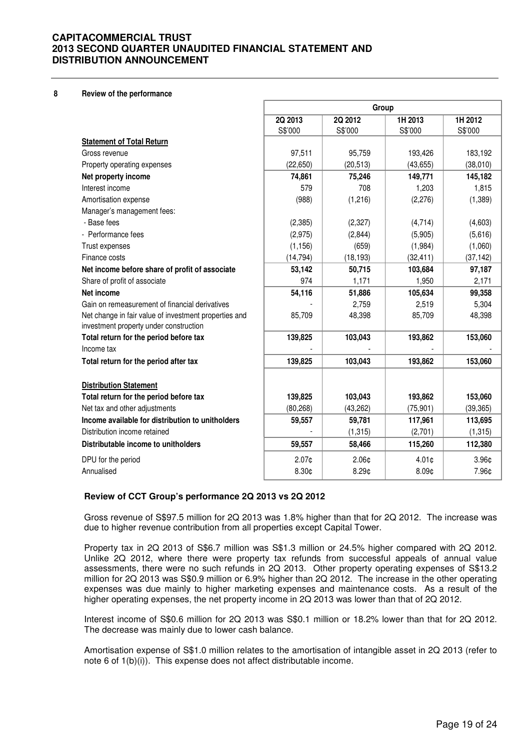**8 Review of the performance**

|                                                                                                 | Group     |                   |                   |                   |
|-------------------------------------------------------------------------------------------------|-----------|-------------------|-------------------|-------------------|
|                                                                                                 | 2Q 2013   | 2Q 2012           | 1H 2013           | 1H 2012           |
|                                                                                                 | S\$'000   | S\$'000           | S\$'000           | S\$'000           |
| <b>Statement of Total Return</b>                                                                |           |                   |                   |                   |
| Gross revenue                                                                                   | 97,511    | 95,759            | 193,426           | 183,192           |
| Property operating expenses                                                                     | (22, 650) | (20, 513)         | (43, 655)         | (38,010)          |
| Net property income                                                                             | 74,861    | 75,246            | 149,771           | 145,182           |
| Interest income                                                                                 | 579       | 708               | 1,203             | 1,815             |
| Amortisation expense                                                                            | (988)     | (1,216)           | (2,276)           | (1,389)           |
| Manager's management fees:                                                                      |           |                   |                   |                   |
| - Base fees                                                                                     | (2, 385)  | (2, 327)          | (4,714)           | (4,603)           |
| - Performance fees                                                                              | (2,975)   | (2,844)           | (5,905)           | (5,616)           |
| Trust expenses                                                                                  | (1, 156)  | (659)             | (1,984)           | (1,060)           |
| Finance costs                                                                                   | (14, 794) | (18, 193)         | (32, 411)         | (37, 142)         |
| Net income before share of profit of associate                                                  | 53,142    | 50,715            | 103,684           | 97,187            |
| Share of profit of associate                                                                    | 974       | 1,171             | 1,950             | 2,171             |
| Net income                                                                                      | 54,116    | 51,886            | 105,634           | 99,358            |
| Gain on remeasurement of financial derivatives                                                  |           | 2,759             | 2,519             | 5,304             |
| Net change in fair value of investment properties and<br>investment property under construction | 85,709    | 48,398            | 85,709            | 48,398            |
| Total return for the period before tax                                                          | 139,825   | 103,043           | 193,862           | 153,060           |
| Income tax                                                                                      |           |                   |                   |                   |
| Total return for the period after tax                                                           | 139,825   | 103,043           | 193,862           | 153,060           |
| <b>Distribution Statement</b>                                                                   |           |                   |                   |                   |
| Total return for the period before tax                                                          | 139,825   | 103,043           | 193,862           | 153,060           |
| Net tax and other adjustments                                                                   | (80, 268) | (43, 262)         | (75, 901)         | (39, 365)         |
| Income available for distribution to unitholders                                                | 59,557    | 59,781            | 117,961           | 113,695           |
| Distribution income retained                                                                    |           | (1, 315)          | (2,701)           | (1, 315)          |
| Distributable income to unitholders                                                             | 59,557    | 58,466            | 115,260           | 112,380           |
| DPU for the period                                                                              | $2.07$ ¢  | 2.06 <sub>¢</sub> | $4.01$ ¢          | 3.96 <sub>¢</sub> |
| Annualised                                                                                      | 8.30¢     | 8.29¢             | 8.09 <sub>¢</sub> | 7.96¢             |

### **Review of CCT Group's performance 2Q 2013 vs 2Q 2012**

 Gross revenue of S\$97.5 million for 2Q 2013 was 1.8% higher than that for 2Q 2012. The increase was due to higher revenue contribution from all properties except Capital Tower.

Property tax in 2Q 2013 of S\$6.7 million was S\$1.3 million or 24.5% higher compared with 2Q 2012. Unlike 2Q 2012, where there were property tax refunds from successful appeals of annual value assessments, there were no such refunds in 2Q 2013. Other property operating expenses of S\$13.2 million for 2Q 2013 was S\$0.9 million or 6.9% higher than 2Q 2012. The increase in the other operating expenses was due mainly to higher marketing expenses and maintenance costs. As a result of the higher operating expenses, the net property income in 2Q 2013 was lower than that of 2Q 2012.

Interest income of S\$0.6 million for 2Q 2013 was S\$0.1 million or 18.2% lower than that for 2Q 2012. The decrease was mainly due to lower cash balance.

Amortisation expense of S\$1.0 million relates to the amortisation of intangible asset in 2Q 2013 (refer to note 6 of 1(b)(i)). This expense does not affect distributable income.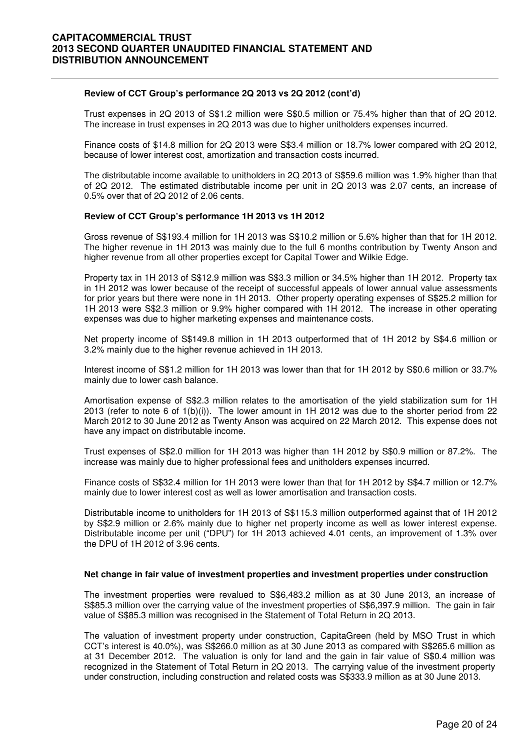#### **Review of CCT Group's performance 2Q 2013 vs 2Q 2012 (cont'd)**

Trust expenses in 2Q 2013 of S\$1.2 million were S\$0.5 million or 75.4% higher than that of 2Q 2012. The increase in trust expenses in 2Q 2013 was due to higher unitholders expenses incurred.

Finance costs of \$14.8 million for 2Q 2013 were S\$3.4 million or 18.7% lower compared with 2Q 2012, because of lower interest cost, amortization and transaction costs incurred.

The distributable income available to unitholders in 2Q 2013 of S\$59.6 million was 1.9% higher than that of 2Q 2012. The estimated distributable income per unit in 2Q 2013 was 2.07 cents, an increase of 0.5% over that of 2Q 2012 of 2.06 cents.

#### **Review of CCT Group's performance 1H 2013 vs 1H 2012**

Gross revenue of S\$193.4 million for 1H 2013 was S\$10.2 million or 5.6% higher than that for 1H 2012. The higher revenue in 1H 2013 was mainly due to the full 6 months contribution by Twenty Anson and higher revenue from all other properties except for Capital Tower and Wilkie Edge.

Property tax in 1H 2013 of S\$12.9 million was S\$3.3 million or 34.5% higher than 1H 2012. Property tax in 1H 2012 was lower because of the receipt of successful appeals of lower annual value assessments for prior years but there were none in 1H 2013. Other property operating expenses of S\$25.2 million for 1H 2013 were S\$2.3 million or 9.9% higher compared with 1H 2012. The increase in other operating expenses was due to higher marketing expenses and maintenance costs.

Net property income of S\$149.8 million in 1H 2013 outperformed that of 1H 2012 by S\$4.6 million or 3.2% mainly due to the higher revenue achieved in 1H 2013.

Interest income of S\$1.2 million for 1H 2013 was lower than that for 1H 2012 by S\$0.6 million or 33.7% mainly due to lower cash balance.

Amortisation expense of S\$2.3 million relates to the amortisation of the yield stabilization sum for 1H 2013 (refer to note 6 of 1(b)(i)). The lower amount in 1H 2012 was due to the shorter period from 22 March 2012 to 30 June 2012 as Twenty Anson was acquired on 22 March 2012. This expense does not have any impact on distributable income.

Trust expenses of S\$2.0 million for 1H 2013 was higher than 1H 2012 by S\$0.9 million or 87.2%. The increase was mainly due to higher professional fees and unitholders expenses incurred.

Finance costs of S\$32.4 million for 1H 2013 were lower than that for 1H 2012 by S\$4.7 million or 12.7% mainly due to lower interest cost as well as lower amortisation and transaction costs.

Distributable income to unitholders for 1H 2013 of S\$115.3 million outperformed against that of 1H 2012 by S\$2.9 million or 2.6% mainly due to higher net property income as well as lower interest expense. Distributable income per unit ("DPU") for 1H 2013 achieved 4.01 cents, an improvement of 1.3% over the DPU of 1H 2012 of 3.96 cents.

#### **Net change in fair value of investment properties and investment properties under construction**

The investment properties were revalued to S\$6,483.2 million as at 30 June 2013, an increase of S\$85.3 million over the carrying value of the investment properties of S\$6,397.9 million. The gain in fair value of S\$85.3 million was recognised in the Statement of Total Return in 2Q 2013.

The valuation of investment property under construction, CapitaGreen (held by MSO Trust in which CCT's interest is 40.0%), was S\$266.0 million as at 30 June 2013 as compared with S\$265.6 million as at 31 December 2012. The valuation is only for land and the gain in fair value of S\$0.4 million was recognized in the Statement of Total Return in 2Q 2013. The carrying value of the investment property under construction, including construction and related costs was S\$333.9 million as at 30 June 2013.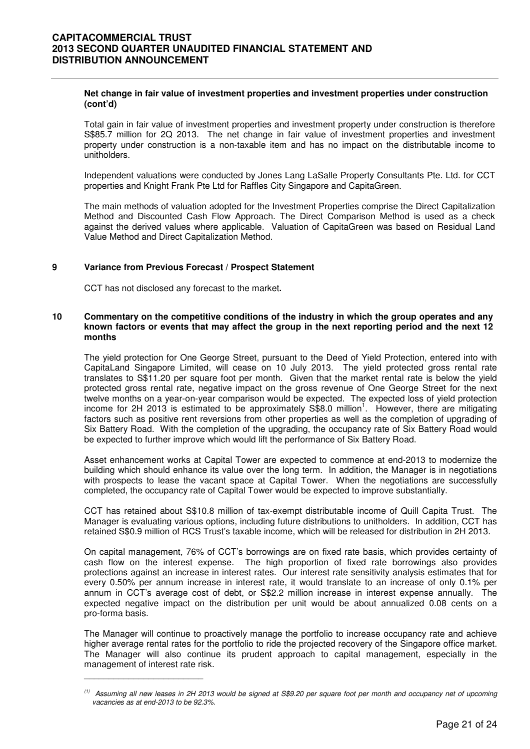#### **Net change in fair value of investment properties and investment properties under construction (cont'd)**

Total gain in fair value of investment properties and investment property under construction is therefore S\$85.7 million for 2Q 2013. The net change in fair value of investment properties and investment property under construction is a non-taxable item and has no impact on the distributable income to unitholders.

Independent valuations were conducted by Jones Lang LaSalle Property Consultants Pte. Ltd. for CCT properties and Knight Frank Pte Ltd for Raffles City Singapore and CapitaGreen.

The main methods of valuation adopted for the Investment Properties comprise the Direct Capitalization Method and Discounted Cash Flow Approach. The Direct Comparison Method is used as a check against the derived values where applicable. Valuation of CapitaGreen was based on Residual Land Value Method and Direct Capitalization Method.

#### **9 Variance from Previous Forecast / Prospect Statement**

CCT has not disclosed any forecast to the market**.** 

 $\frac{1}{2}$  ,  $\frac{1}{2}$  ,  $\frac{1}{2}$  ,  $\frac{1}{2}$  ,  $\frac{1}{2}$  ,  $\frac{1}{2}$  ,  $\frac{1}{2}$  ,  $\frac{1}{2}$  ,  $\frac{1}{2}$  ,  $\frac{1}{2}$  ,  $\frac{1}{2}$  ,  $\frac{1}{2}$  ,  $\frac{1}{2}$  ,  $\frac{1}{2}$  ,  $\frac{1}{2}$  ,  $\frac{1}{2}$  ,  $\frac{1}{2}$  ,  $\frac{1}{2}$  ,  $\frac{1$ 

#### **10 Commentary on the competitive conditions of the industry in which the group operates and any known factors or events that may affect the group in the next reporting period and the next 12 months**

The yield protection for One George Street, pursuant to the Deed of Yield Protection, entered into with CapitaLand Singapore Limited, will cease on 10 July 2013. The yield protected gross rental rate translates to S\$11.20 per square foot per month. Given that the market rental rate is below the yield protected gross rental rate, negative impact on the gross revenue of One George Street for the next twelve months on a year-on-year comparison would be expected. The expected loss of yield protection income for 2H 2013 is estimated to be approximately  $S$8.0$  million<sup>1</sup>. However, there are mitigating factors such as positive rent reversions from other properties as well as the completion of upgrading of Six Battery Road. With the completion of the upgrading, the occupancy rate of Six Battery Road would be expected to further improve which would lift the performance of Six Battery Road.

Asset enhancement works at Capital Tower are expected to commence at end-2013 to modernize the building which should enhance its value over the long term. In addition, the Manager is in negotiations with prospects to lease the vacant space at Capital Tower. When the negotiations are successfully completed, the occupancy rate of Capital Tower would be expected to improve substantially.

CCT has retained about S\$10.8 million of tax-exempt distributable income of Quill Capita Trust. The Manager is evaluating various options, including future distributions to unitholders. In addition, CCT has retained S\$0.9 million of RCS Trust's taxable income, which will be released for distribution in 2H 2013.

On capital management, 76% of CCT's borrowings are on fixed rate basis, which provides certainty of cash flow on the interest expense. The high proportion of fixed rate borrowings also provides protections against an increase in interest rates. Our interest rate sensitivity analysis estimates that for every 0.50% per annum increase in interest rate, it would translate to an increase of only 0.1% per annum in CCT's average cost of debt, or S\$2.2 million increase in interest expense annually. The expected negative impact on the distribution per unit would be about annualized 0.08 cents on a pro-forma basis.

The Manager will continue to proactively manage the portfolio to increase occupancy rate and achieve higher average rental rates for the portfolio to ride the projected recovery of the Singapore office market. The Manager will also continue its prudent approach to capital management, especially in the management of interest rate risk.

 $(1)$  Assuming all new leases in 2H 2013 would be signed at S\$9.20 per square foot per month and occupancy net of upcoming vacancies as at end-2013 to be 92.3%.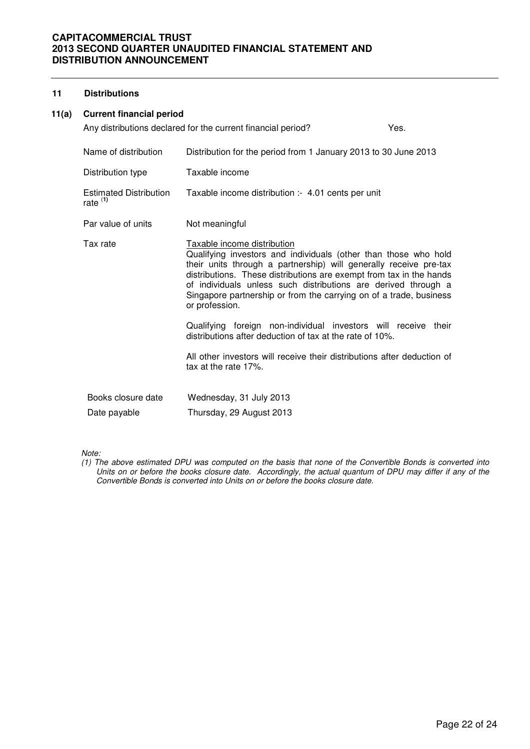### **11 Distributions**

### **11(a) Current financial period**

|                                             | Any distributions declared for the current financial period?                                                                                                                                                                                                                                                                                                                                                                                                           | Yes. |
|---------------------------------------------|------------------------------------------------------------------------------------------------------------------------------------------------------------------------------------------------------------------------------------------------------------------------------------------------------------------------------------------------------------------------------------------------------------------------------------------------------------------------|------|
| Name of distribution                        | Distribution for the period from 1 January 2013 to 30 June 2013                                                                                                                                                                                                                                                                                                                                                                                                        |      |
| Distribution type                           | Taxable income                                                                                                                                                                                                                                                                                                                                                                                                                                                         |      |
| <b>Estimated Distribution</b><br>rate $(1)$ | Taxable income distribution :- 4.01 cents per unit                                                                                                                                                                                                                                                                                                                                                                                                                     |      |
| Par value of units                          | Not meaningful                                                                                                                                                                                                                                                                                                                                                                                                                                                         |      |
| Tax rate                                    | Taxable income distribution<br>Qualifying investors and individuals (other than those who hold<br>their units through a partnership) will generally receive pre-tax<br>distributions. These distributions are exempt from tax in the hands<br>of individuals unless such distributions are derived through a<br>Singapore partnership or from the carrying on of a trade, business<br>or profession.<br>Qualifying foreign non-individual investors will receive their |      |
|                                             | distributions after deduction of tax at the rate of 10%.                                                                                                                                                                                                                                                                                                                                                                                                               |      |
|                                             | All other investors will receive their distributions after deduction of<br>tax at the rate 17%.                                                                                                                                                                                                                                                                                                                                                                        |      |
| Books closure date                          | Wednesday, 31 July 2013                                                                                                                                                                                                                                                                                                                                                                                                                                                |      |
| Date payable                                | Thursday, 29 August 2013                                                                                                                                                                                                                                                                                                                                                                                                                                               |      |

Note:

(1) The above estimated DPU was computed on the basis that none of the Convertible Bonds is converted into Units on or before the books closure date. Accordingly, the actual quantum of DPU may differ if any of the Convertible Bonds is converted into Units on or before the books closure date.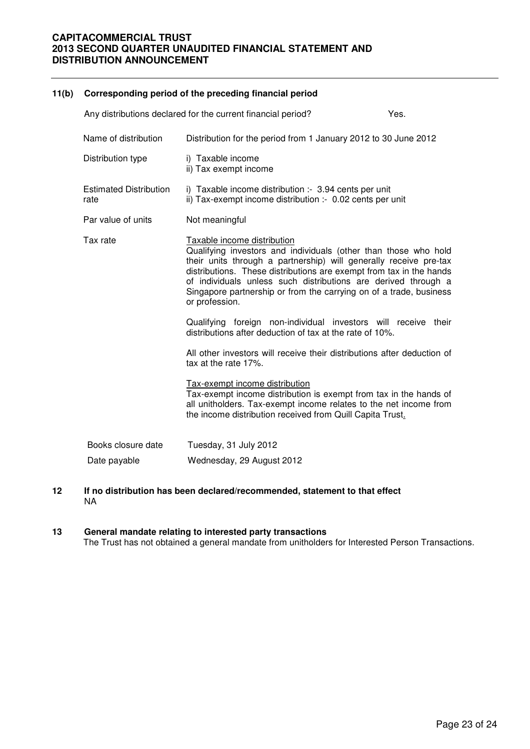# **11(b) Corresponding period of the preceding financial period**  Any distributions declared for the current financial period? The Mes. Name of distribution Distribution for the period from 1 January 2012 to 30 June 2012 Distribution type i) Taxable income ii) Tax exempt income Estimated Distribution rate i) Taxable income distribution :- 3.94 cents per unit ii) Tax-exempt income distribution :- 0.02 cents per unit Par value of units Not meaningful Tax rate Taxable income distribution Qualifying investors and individuals (other than those who hold their units through a partnership) will generally receive pre-tax distributions. These distributions are exempt from tax in the hands of individuals unless such distributions are derived through a Singapore partnership or from the carrying on of a trade, business or profession. Qualifying foreign non-individual investors will receive their distributions after deduction of tax at the rate of 10%. All other investors will receive their distributions after deduction of tax at the rate 17%. Tax-exempt income distribution Tax-exempt income distribution is exempt from tax in the hands of all unitholders. Tax-exempt income relates to the net income from the income distribution received from Quill Capita Trust. Books closure date Tuesday, 31 July 2012 Date payable Wednesday, 29 August 2012

**12 If no distribution has been declared/recommended, statement to that effect** NA

### **13 General mandate relating to interested party transactions**

The Trust has not obtained a general mandate from unitholders for Interested Person Transactions.